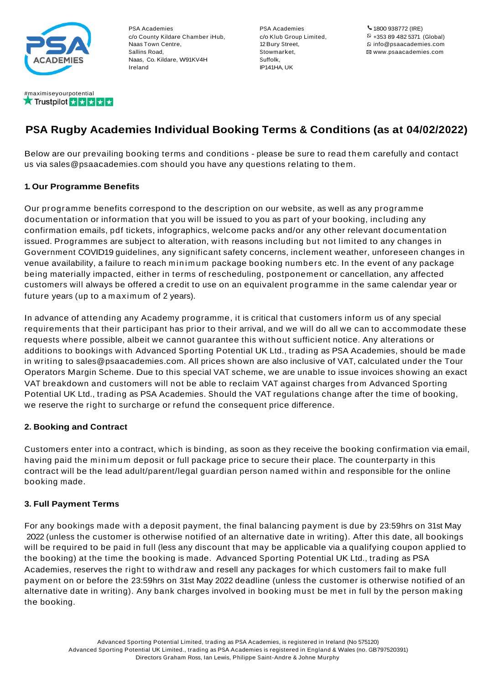

PSA Academies c/o County Kildare Chamber iHub, Naas Town Centre, Sallins Road, Naas, Co. Kildare, W91KV4H Ireland

PSA Academies c/o Klub Group Limited, 12Bury Street, Stowmarket, Suffolk, IP141HA, UK

1800 938772 (IRE) +353 89 482 5371 (Global) info@psaacademies.com www.psaacademies.com

# **PSA Rugby Academies Individual Booking Terms & Conditions (as at 04/02/2022)**

Below are our prevailing booking terms and conditions - please be sure to read them carefully and contact us via sales@psaacademies.com should you have any questions relating to them.

## **1. Our Programme Benefits**

Our programme benefits correspond to the description on our website, as well as any programme documentation or information that you will be issued to you as part of your booking, including any confirmation emails, pdf tickets, infographics, welcome packs and/or any other relevant documentation issued. Programmes are subject to alteration, with reasons including but not limited to any changes in Government COVID19 guidelines, any significant safety concerns, inclement weather, unforeseen changes in venue availability, a failure to reach minimum package booking numbers etc. In the event of any package being materially impacted, either in terms of rescheduling, postponement or cancellation, any affected customers will always be offered a credit to use on an equivalent programme in the same calendar year or future years (up to a maximum of 2 years).

In advance of attending any Academy programme, it is critical that customers inform us of any special requirements that their participant has prior to their arrival, and we will do all we can to accommodate these requests where possible, albeit we cannot guarantee this without sufficient notice. Any alterations or additions to bookings with Advanced Sporting Potential UK Ltd., trading as PSA Academies, should be made in writing to sales@psaacademies.com. All prices shown are also inclusive of VAT, calculated under the Tour Operators Margin Scheme. Due to this special VAT scheme, we are unable to issue invoices showing an exact VAT breakdown and customers will not be able to reclaim VAT against charges from Advanced Sporting Potential UK Ltd., trading as PSA Academies. Should the VAT regulations change after the time of booking, we reserve the right to surcharge or refund the consequent price difference.

# **2. Booking and Contract**

Customers enter into a contract, which is binding, as soon as they receive the booking confirmation via email, having paid the minimum deposit or full package price to secure their place. The counterparty in this contract will be the lead adult/parent/legal guardian person named within and responsible for the online booking made.

### **3. Full Payment Terms**

For any bookings made with a deposit payment, the final balancing payment is due by 23:59hrs on 31st May 2022 (unless the customer is otherwise notified of an alternative date in writing). After this date, all bookings will be required to be paid in full (less any discount that may be applicable via a qualifying coupon applied to the booking) at the time the booking is made. Advanced Sporting Potential UK Ltd., trading as PSA Academies, reserves the right to withdraw and resell any packages for which customers fail to make full payment on or before the 23:59hrs on 31st May 2022 deadline (unless the customer is otherwise notified of an alternative date in writing). Any bank charges involved in booking must be met in full by the person making the booking.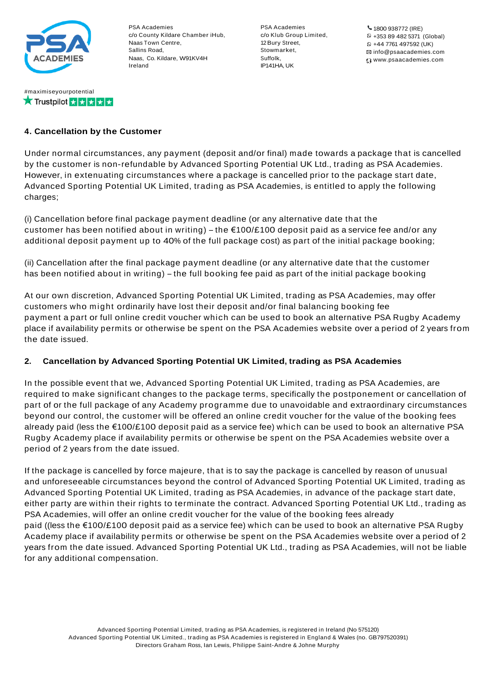

#maximiseyourpotential

★ Trustpilot ★ ★ ★ ★ ★

PSA Academies c/o County Kildare Chamber iHub, Naas Town Centre, Sallins Road, Naas, Co. Kildare, W91KV4H Ireland

PSA Academies c/o Klub Group Limited, 12Bury Street, Stowmarket, Suffolk, IP141HA, UK

1800 938772 (IRE) +353 89 482 5371 (Global) +44 7761 497592 (UK) info@psaacademies.com www.psaacademies.com

# **4. Cancellation by the Customer**

Under normal circumstances, any payment (deposit and/or final) made towards a package that is cancelled by the customer is non-refundable by Advanced Sporting Potential UK Ltd., trading as PSA Academies. However, in extenuating circumstances where a package is cancelled prior to the package start date, Advanced Sporting Potential UK Limited, trading as PSA Academies, is entitled to apply the following charges;

(i) Cancellation before final package payment deadline (or any alternative date that the customer has been notified about in writing) – the  $\epsilon$ 100/£100 deposit paid as a service fee and/or any additional deposit payment up to 40% of the full package cost) as part of the initial package booking;

(ii) Cancellation after the final package payment deadline (or any alternative date that the customer has been notified about in writing) – the full booking fee paid as part of the initial package booking

At our own discretion, Advanced Sporting Potential UK Limited, trading as PSA Academies, may offer customers who might ordinarily have lost their deposit and/or final balancing booking fee payment a part or full online credit voucher which can be used to book an alternative PSA Rugby Academy place if availability permits or otherwise be spent on the PSA Academies website over a period of 2 years from the date issued.

# **2. Cancellation by Advanced Sporting Potential UK Limited, trading as PSA Academies**

In the possible event that we, Advanced Sporting Potential UK Limited, trading as PSA Academies, are required to make significant changes to the package terms, specifically the postponement or cancellation of part of or the full package of any Academy programme due to unavoidable and extraordinary circumstances beyond our control, the customer will be offered an online credit voucher for the value of the booking fees already paid (less the €100/£100 deposit paid as a service fee) which can be used to book an alternative PSA Rugby Academy place if availability permits or otherwise be spent on the PSA Academies website over a period of 2 years from the date issued.

If the package is cancelled by force majeure, that is to say the package is cancelled by reason of unusual and unforeseeable circumstances beyond the control of Advanced Sporting Potential UK Limited, trading as Advanced Sporting Potential UK Limited, trading as PSA Academies, in advance of the package start date, either party are within their rights to terminate the contract. Advanced Sporting Potential UK Ltd., trading as PSA Academies, will offer an online credit voucher for the value of the booking fees already paid ((less the €100/£100 deposit paid as a service fee) which can be used to book an alternative PSA Rugby Academy place if availability permits or otherwise be spent on the PSA Academies website over a period of 2 years from the date issued. Advanced Sporting Potential UK Ltd., trading as PSA Academies, will not be liable for any additional compensation.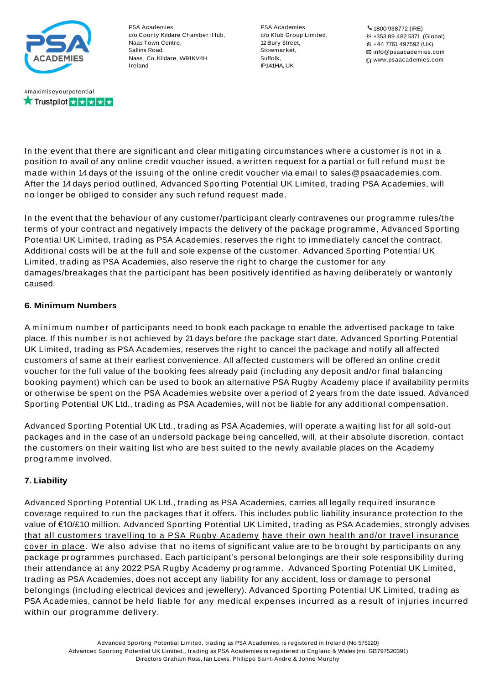

**★ Trustpilot xxxxxxx** 

PSA Academies c/o County Kildare Chamber iHub, Naas Town Centre, Sallins Road, Naas, Co. Kildare, W91KV4H Ireland

PSA Academies c/o Klub Group Limited, 12Bury Street, Stowmarket, Suffolk, IP141HA, UK

1800 938772 (IRE) +353 89 482 5371 (Global) +44 7761 497592 (UK) info@psaacademies.com www.psaacademies.com

In the event that there are significant and clear mitigating circumstances where a customer is not in a position to avail of any online credit voucher issued, a written request for a partial or full refund must be made within 14days of the issuing of the online credit voucher via email to sales@psaacademies.com. After the 14 days period outlined, Advanced Sporting Potential UK Limited, trading PSA Academies, will no longer be obliged to consider any such refund request made.

In the event that the behaviour of any customer/participant clearly contravenes our programme rules/the terms of your contract and negatively impacts the delivery of the package programme, Advanced Sporting Potential UK Limited, trading as PSA Academies, reserves the right to immediately cancel the contract. Additional costs will be at the full and sole expense of the customer. Advanced Sporting Potential UK Limited, trading as PSA Academies, also reserve the right to charge the customer for any damages/breakages that the participant has been positively identified as having deliberately or wantonly caused.

# **6. Minimum Numbers**

A minimum number of participants need to book each package to enable the advertised package to take place. If this number is not achieved by 21 days before the package start date, Advanced Sporting Potential UK Limited, trading as PSA Academies, reserves the right to cancel the package and notify all affected customers of same at their earliest convenience. All affected customers will be offered an online credit voucher for the full value of the booking fees already paid (including any deposit and/or final balancing booking payment) which can be used to book an alternative PSA Rugby Academy place if availability permits or otherwise be spent on the PSA Academies website over a period of 2 years from the date issued. Advanced Sporting Potential UK Ltd., trading as PSA Academies, will not be liable for any additional compensation.

Advanced Sporting Potential UK Ltd., trading as PSA Academies, will operate a waiting list for all sold-out packages and in the case of an undersold package being cancelled, will, at their absolute discretion, contact the customers on their waiting list who are best suited to the newly available places on the Academy programme involved.

# **7. Liability**

Advanced Sporting Potential UK Ltd., trading as PSA Academies, carries all legally required insurance coverage required to run the packages that it offers. This includes public liability insurance protection to the value of €10/£10 million. Advanced Sporting Potential UK Limited, trading as PSA Academies, strongly advises that all customers travelling to a PSA Rugby Academy have their own health and/or travel insurance cover in place. We also advise that no items of significant value are to be brought by participants on any package programmes purchased. Each participant's personal belongings are their sole responsibility during their attendance at any 2022 PSA Rugby Academy programme. Advanced Sporting Potential UK Limited, trading as PSA Academies, does not accept any liability for any accident, loss or damage to personal belongings (including electrical devices and jewellery). Advanced Sporting Potential UK Limited, trading as PSA Academies, cannot be held liable for any medical expenses incurred as a result of injuries incurred within our programme delivery.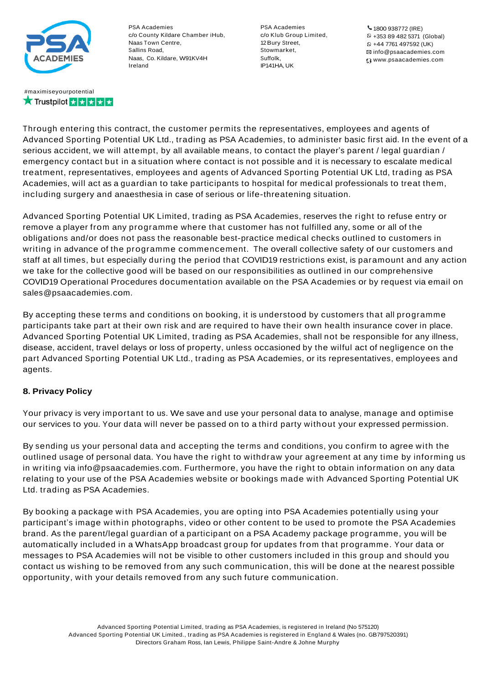

#### #maximiseyourpotential **★ Trustpilot ★★★★★**

PSA Academies c/o County Kildare Chamber iHub, Naas Town Centre, Sallins Road, Naas, Co. Kildare, W91KV4H Ireland

PSA Academies c/o Klub Group Limited, 12Bury Street, Stowmarket, Suffolk, IP141HA, UK

1800 938772 (IRE) +353 89 482 5371 (Global) +44 7761 497592 (UK) info@psaacademies.com www.psaacademies.com

Through entering this contract, the customer permits the representatives, employees and agents of Advanced Sporting Potential UK Ltd., trading as PSA Academies, to administer basic first aid. In the event of a serious accident, we will attempt, by all available means, to contact the player's parent / legal guardian / emergency contact but in a situation where contact is not possible and it is necessary to escalate medical treatment, representatives, employees and agents of Advanced Sporting Potential UK Ltd, trading as PSA Academies, will act as a guardian to take participants to hospital for medical professionals to treat them, including surgery and anaesthesia in case of serious or life-threatening situation.

Advanced Sporting Potential UK Limited, trading as PSA Academies, reserves the right to refuse entry or remove a player from any programme where that customer has not fulfilled any, some or all of the obligations and/or does not pass the reasonable best-practice medical checks outlined to customers in writing in advance of the programme commencement. The overall collective safety of our customers and staff at all times, but especially during the period that COVID19 restrictions exist, is paramount and any action we take for the collective good will be based on our responsibilities as outlined in our comprehensive COVID19 Operational Procedures documentation available on the PSA Academies or by request via email on sales@psaacademies.com.

By accepting these terms and conditions on booking, it is understood by customers that all programme participants take part at their own risk and are required to have their own health insurance cover in place. Advanced Sporting Potential UK Limited, trading as PSA Academies, shall not be responsible for any illness, disease, accident, travel delays or loss of property, unless occasioned by the wilful act of negligence on the part Advanced Sporting Potential UK Ltd., trading as PSA Academies, or its representatives, employees and agents.

# **8. Privacy Policy**

Your privacy is very important to us. We save and use your personal data to analyse, manage and optimise our services to you. Your data will never be passed on to a third party without your expressed permission.

By sending us your personal data and accepting the terms and conditions, you confirm to agree with the outlined usage of personal data. You have the right to withdraw your agreement at any time by informing us in writing via info@psaacademies.com. Furthermore, you have the right to obtain information on any data relating to your use of the PSA Academies website or bookings made with Advanced Sporting Potential UK Ltd. trading as PSA Academies.

By booking a package with PSA Academies, you are opting into PSA Academies potentially using your participant's image within photographs, video or other content to be used to promote the PSA Academies brand. As the parent/legal guardian of a participant on a PSA Academy package programme, you will be automatically included in a WhatsApp broadcast group for updates from that programme. Your data or messages to PSA Academies will not be visible to other customers included in this group and should you contact us wishing to be removed from any such communication, this will be done at the nearest possible opportunity, with your details removed from any such future communication.